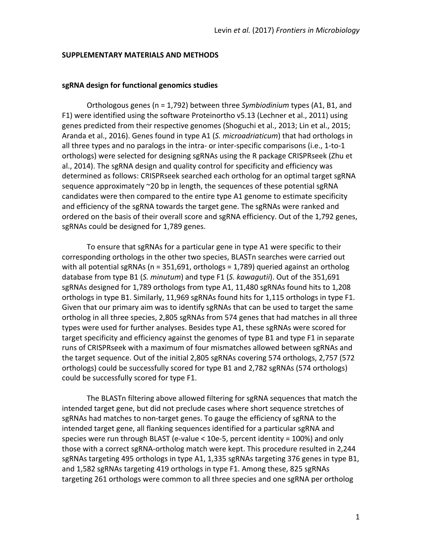#### **SUPPLEMENTARY MATERIALS AND METHODS**

### **sgRNA design for functional genomics studies**

Orthologous genes (n = 1,792) between three *Symbiodinium* types (A1, B1, and F1) were identified using the software Proteinortho v5.13 (Lechner et al., 2011) using genes predicted from their respective genomes (Shoguchi et al., 2013; Lin et al., 2015; Aranda et al., 2016). Genes found in type A1 (S. microadriaticum) that had orthologs in all three types and no paralogs in the intra- or inter-specific comparisons (i.e., 1-to-1 orthologs) were selected for designing sgRNAs using the R package CRISPRseek (Zhu et al., 2014). The sgRNA design and quality control for specificity and efficiency was determined as follows: CRISPRseek searched each ortholog for an optimal target sgRNA sequence approximately  $\sim$ 20 bp in length, the sequences of these potential sgRNA candidates were then compared to the entire type A1 genome to estimate specificity and efficiency of the sgRNA towards the target gene. The sgRNAs were ranked and ordered on the basis of their overall score and sgRNA efficiency. Out of the 1,792 genes, sgRNAs could be designed for 1,789 genes.

To ensure that sgRNAs for a particular gene in type A1 were specific to their corresponding orthologs in the other two species, BLASTn searches were carried out with all potential sgRNAs ( $n = 351,691$ , orthologs = 1,789) queried against an ortholog database from type B1 (S. minutum) and type F1 (S. *kawagutii*). Out of the 351,691 sgRNAs designed for 1,789 orthologs from type A1, 11,480 sgRNAs found hits to 1,208 orthologs in type B1. Similarly, 11,969 sgRNAs found hits for 1,115 orthologs in type F1. Given that our primary aim was to identify sgRNAs that can be used to target the same ortholog in all three species, 2,805 sgRNAs from 574 genes that had matches in all three types were used for further analyses. Besides type A1, these sgRNAs were scored for target specificity and efficiency against the genomes of type B1 and type F1 in separate runs of CRISPRseek with a maximum of four mismatches allowed between sgRNAs and the target sequence. Out of the initial 2,805 sgRNAs covering 574 orthologs, 2,757 (572) orthologs) could be successfully scored for type B1 and 2,782 sgRNAs (574 orthologs) could be successfully scored for type F1.

The BLASTn filtering above allowed filtering for sgRNA sequences that match the intended target gene, but did not preclude cases where short sequence stretches of sgRNAs had matches to non-target genes. To gauge the efficiency of sgRNA to the intended target gene, all flanking sequences identified for a particular sgRNA and species were run through BLAST (e-value  $<$  10e-5, percent identity = 100%) and only those with a correct sgRNA-ortholog match were kept. This procedure resulted in 2,244 sgRNAs targeting 495 orthologs in type A1, 1,335 sgRNAs targeting 376 genes in type B1, and 1,582 sgRNAs targeting 419 orthologs in type F1. Among these, 825 sgRNAs targeting 261 orthologs were common to all three species and one sgRNA per ortholog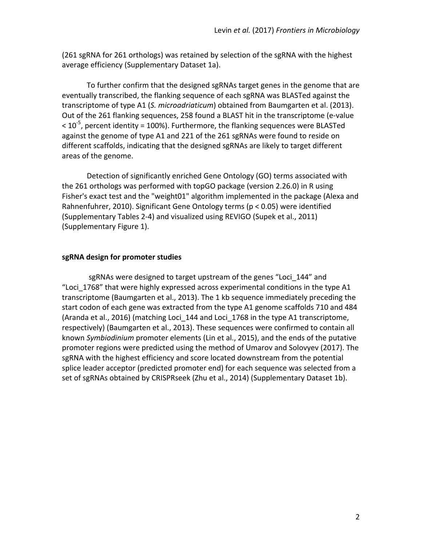(261 sgRNA for 261 orthologs) was retained by selection of the sgRNA with the highest average efficiency (Supplementary Dataset 1a).

To further confirm that the designed sgRNAs target genes in the genome that are eventually transcribed, the flanking sequence of each sgRNA was BLASTed against the transcriptome of type A1 (*S. microadriaticum*) obtained from Baumgarten et al. (2013). Out of the 261 flanking sequences, 258 found a BLAST hit in the transcriptome (e-value  $<$  10<sup>-5</sup>, percent identity = 100%). Furthermore, the flanking sequences were BLASTed against the genome of type A1 and 221 of the 261 sgRNAs were found to reside on different scaffolds, indicating that the designed sgRNAs are likely to target different areas of the genome.

Detection of significantly enriched Gene Ontology (GO) terms associated with the 261 orthologs was performed with topGO package (version 2.26.0) in R using Fisher's exact test and the "weight01" algorithm implemented in the package (Alexa and Rahnenfuhrer, 2010). Significant Gene Ontology terms ( $p < 0.05$ ) were identified (Supplementary Tables 2-4) and visualized using REVIGO (Supek et al., 2011) (Supplementary Figure 1).

## **sgRNA design for promoter studies**

sgRNAs were designed to target upstream of the genes "Loci 144" and "Loci  $1768$ " that were highly expressed across experimental conditions in the type A1 transcriptome (Baumgarten et al., 2013). The 1 kb sequence immediately preceding the start codon of each gene was extracted from the type A1 genome scaffolds 710 and 484 (Aranda et al., 2016) (matching Loci 144 and Loci 1768 in the type A1 transcriptome, respectively) (Baumgarten et al., 2013). These sequences were confirmed to contain all known *Symbiodinium* promoter elements (Lin et al., 2015), and the ends of the putative promoter regions were predicted using the method of Umarov and Solovyev (2017). The sgRNA with the highest efficiency and score located downstream from the potential splice leader acceptor (predicted promoter end) for each sequence was selected from a set of sgRNAs obtained by CRISPRseek (Zhu et al., 2014) (Supplementary Dataset 1b).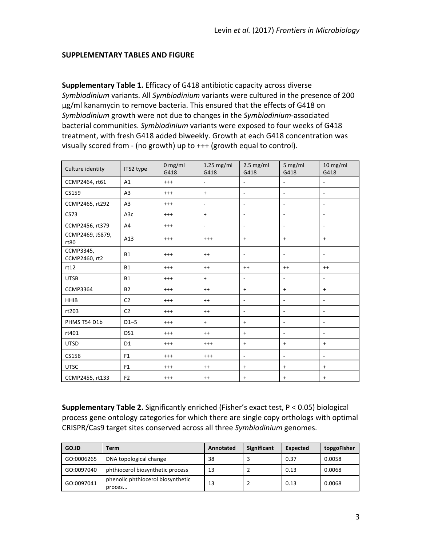## **SUPPLEMENTARY TABLES AND FIGURE**

**Supplementary Table 1.** Efficacy of G418 antibiotic capacity across diverse Symbiodinium variants. All Symbiodinium variants were cultured in the presence of 200 μg/ml kanamycin to remove bacteria. This ensured that the effects of G418 on Symbiodinium growth were not due to changes in the Symbiodinium-associated bacterial communities. *Symbiodinium* variants were exposed to four weeks of G418 treatment, with fresh G418 added biweekly. Growth at each G418 concentration was visually scored from - (no growth) up to  $++$  (growth equal to control).

| Culture identity           | ITS2 type        | $0$ mg/ml<br>G418 | $1.25$ mg/ml<br>G418             | $2.5$ mg/ml<br>G418      | 5 mg/ml<br>G418          | $10$ mg/ml<br>G418       |
|----------------------------|------------------|-------------------|----------------------------------|--------------------------|--------------------------|--------------------------|
| CCMP2464, rt61             | A1               | $^{+++}$          | $\overline{\phantom{a}}$         | $\overline{\phantom{a}}$ | $\overline{\phantom{a}}$ | $\overline{\phantom{a}}$ |
| CS159                      | A <sub>3</sub>   | $^{+++}$          | $\ddot{}$                        | $\overline{\phantom{a}}$ | $\overline{\phantom{a}}$ | $\overline{\phantom{a}}$ |
| CCMP2465, rt292            | A <sub>3</sub>   | $^{+++}$          | $\overline{\phantom{a}}$         | $\sim$                   | ÷.                       | $\overline{\phantom{a}}$ |
| CS73                       | A <sub>3</sub> c | $^{+++}$          | $\begin{array}{c} + \end{array}$ | $\blacksquare$           | $\blacksquare$           | $\overline{\phantom{a}}$ |
| CCMP2456, rt379            | A4               | $^{+++}$          | $\overline{\phantom{a}}$         | $\overline{\phantom{a}}$ | $\overline{\phantom{a}}$ | $\overline{\phantom{a}}$ |
| CCMP2469, JS879,<br>rt80   | A13              | $^{+++}$          | $^{+++}$                         | $\ddot{}$                | $\ddot{}$                | $\ddot{}$                |
| CCMP3345,<br>CCMP2460, rt2 | <b>B1</b>        | $^{+++}$          | $^{++}$                          | $\overline{\phantom{a}}$ | $\overline{\phantom{a}}$ | $\overline{\phantom{a}}$ |
| rt12                       | <b>B1</b>        | $^{+++}$          | $^{++}$                          | $^{++}$                  | $^{++}$                  | $^{++}$                  |
| <b>UTSB</b>                | <b>B1</b>        | $^{+++}$          | $\ddot{}$                        | $\overline{\phantom{a}}$ | $\overline{\phantom{a}}$ | $\overline{\phantom{a}}$ |
| <b>CCMP3364</b>            | <b>B2</b>        | $^{+++}$          | $^{++}$                          | $\ddot{}$                | $+$                      | $\ddot{}$                |
| <b>HHIB</b>                | C <sub>2</sub>   | $^{+++}$          | $^{++}$                          | $\overline{\phantom{a}}$ | $\overline{\phantom{a}}$ | $\overline{\phantom{m}}$ |
| rt203                      | C <sub>2</sub>   | $^{+++}$          | $^{++}$                          | $\overline{\phantom{a}}$ | $\overline{\phantom{a}}$ | $\overline{\phantom{a}}$ |
| PHMS T54 D1b               | $D1-5$           | $^{+++}$          | $\ddot{}$                        | $\ddot{}$                | $\overline{\phantom{a}}$ | $\overline{\phantom{a}}$ |
| rt401                      | DS1              | $^{+++}$          | $^{++}$                          | $\ddot{}$                | $\overline{\phantom{a}}$ | $\overline{\phantom{a}}$ |
| <b>UTSD</b>                | D <sub>1</sub>   | $^{+++}$          | $^{+++}$                         | $\ddot{}$                | $\ddot{}$                | $\ddot{}$                |
| CS156                      | F <sub>1</sub>   | $^{+++}$          | $^{+++}$                         | $\overline{\phantom{a}}$ | $\overline{\phantom{a}}$ | $\overline{\phantom{a}}$ |
| <b>UTSC</b>                | F <sub>1</sub>   | $^{+++}$          | $^{++}$                          | $\ddot{}$                | $\ddot{}$                | $\ddot{}$                |
| CCMP2455, rt133            | F <sub>2</sub>   | $^{+++}$          | $^{++}$                          | $\ddot{}$                | $+$                      | $\ddot{}$                |

**Supplementary Table 2.** Significantly enriched (Fisher's exact test, P < 0.05) biological process gene ontology categories for which there are single copy orthologs with optimal CRISPR/Cas9 target sites conserved across all three Symbiodinium genomes.

| GO.ID      | Term                                        | Annotated | <b>Significant</b> | Expected | topgoFisher |
|------------|---------------------------------------------|-----------|--------------------|----------|-------------|
| GO:0006265 | DNA topological change                      | 38        |                    | 0.37     | 0.0058      |
| GO:0097040 | phthiocerol biosynthetic process            | 13        |                    | 0.13     | 0.0068      |
| GO:0097041 | phenolic phthiocerol biosynthetic<br>proces | 13        |                    | 0.13     | 0.0068      |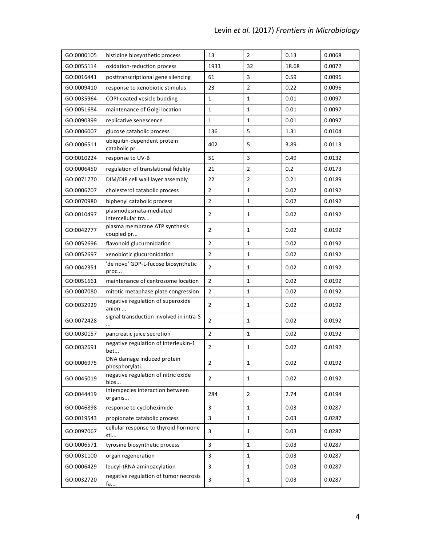| GO:0000105 | histidine biosynthetic process              | 13             | $\overline{2}$ | 0.13  | 0.0068 |
|------------|---------------------------------------------|----------------|----------------|-------|--------|
| GO:0055114 | oxidation-reduction process                 | 1933           | 32             | 18.68 | 0.0072 |
| GO:0016441 | posttranscriptional gene silencing          | 61             | 3              | 0.59  | 0.0096 |
| GO:0009410 | response to xenobiotic stimulus             | 23             | $\overline{2}$ | 0.22  | 0.0096 |
| GO:0035964 | COPI-coated vesicle budding                 | $\mathbf{1}$   | $\mathbf{1}$   | 0.01  | 0.0097 |
| GO:0051684 | maintenance of Golgi location               | 1              | 1              | 0.01  | 0.0097 |
| GO:0090399 | replicative senescence                      | 1              | 1              | 0.01  | 0.0097 |
| GO:0006007 | glucose catabolic process                   | 136            | 5              | 1.31  | 0.0104 |
| GO:0006511 | ubiquitin-dependent protein<br>catabolic pr | 402            | 5              | 3.89  | 0.0113 |
| GO:0010224 | response to UV-B                            | 51             | 3              | 0.49  | 0.0132 |
| GO:0006450 | regulation of translational fidelity        | 21             | $\overline{2}$ | 0.2   | 0.0173 |
| GO:0071770 | DIM/DIP cell wall layer assembly            | 22             | $\overline{2}$ | 0.21  | 0.0189 |
| GO:0006707 | cholesterol catabolic process               | $\overline{2}$ | 1              | 0.02  | 0.0192 |
| GO:0070980 | biphenyl catabolic process                  | 2              | $1\,$          | 0.02  | 0.0192 |
| GO:0010497 | plasmodesmata-mediated<br>intercellular tra | $\overline{2}$ | $\mathbf{1}$   | 0.02  | 0.0192 |
| GO:0042777 | plasma membrane ATP synthesis<br>coupled pr | $\overline{2}$ | $\mathbf{1}$   | 0.02  | 0.0192 |
| GO:0052696 | flavonoid glucuronidation                   | $\overline{2}$ | $\mathbf{1}$   | 0.02  | 0.0192 |
| GO:0052697 | xenobiotic glucuronidation                  | $\overline{2}$ | $\mathbf{1}$   | 0.02  | 0.0192 |
| GO:0042351 | 'de novo' GDP-L-fucose biosynthetic<br>proc | $\overline{2}$ | $\mathbf{1}$   | 0.02  | 0.0192 |
| GO:0051661 | maintenance of centrosome location          | $\overline{2}$ | $1\,$          | 0.02  | 0.0192 |
| GO:0007080 | mitotic metaphase plate congression         | $\overline{2}$ | $\mathbf{1}$   | 0.02  | 0.0192 |
| GO:0032929 | negative regulation of superoxide<br>anion  | $\overline{2}$ | $\mathbf{1}$   | 0.02  | 0.0192 |
| GO:0072428 | signal transduction involved in intra-S     | $\overline{2}$ | $\mathbf{1}$   | 0.02  | 0.0192 |
| GO:0030157 | pancreatic juice secretion                  | $\overline{2}$ | $\mathbf 1$    | 0.02  | 0.0192 |
| GO:0032691 | negative regulation of interleukin-1<br>bet | 2              | 1              | 0.02  | 0.0192 |
| GO:0006975 | DNA damage induced protein<br>phosphorylati | $\overline{2}$ | $\mathbf{1}$   | 0.02  | 0.0192 |
| GO:0045019 | negative regulation of nitric oxide<br>bios | $\overline{2}$ | $\mathbf{1}$   | 0.02  | 0.0192 |
| GO:0044419 | interspecies interaction between<br>organis | 284            | $\overline{2}$ | 2.74  | 0.0194 |
| GO:0046898 | response to cycloheximide                   | 3              | 1              | 0.03  | 0.0287 |
| GO:0019543 | propionate catabolic process                | 3              | $\mathbf{1}$   | 0.03  | 0.0287 |
| GO:0097067 | cellular response to thyroid hormone<br>sti | 3              | $\mathbf{1}$   | 0.03  | 0.0287 |
| GO:0006571 | tyrosine biosynthetic process               | 3              | 1              | 0.03  | 0.0287 |
| GO:0031100 | organ regeneration                          | 3              | $\mathbf{1}$   | 0.03  | 0.0287 |
| GO:0006429 | leucyl-tRNA aminoacylation                  | $\overline{3}$ | $\mathbf{1}$   | 0.03  | 0.0287 |
| GO:0032720 | negative regulation of tumor necrosis<br>fa | 3              | 1              | 0.03  | 0.0287 |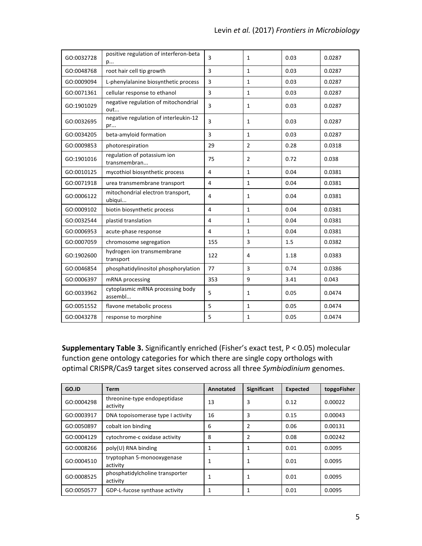| GO:0032728 | positive regulation of interferon-beta<br>p | 3   | $\mathbf{1}$   | 0.03 | 0.0287 |
|------------|---------------------------------------------|-----|----------------|------|--------|
| GO:0048768 | root hair cell tip growth                   | 3   | $\mathbf{1}$   | 0.03 | 0.0287 |
| GO:0009094 | L-phenylalanine biosynthetic process        | 3   | $\mathbf{1}$   | 0.03 | 0.0287 |
| GO:0071361 | cellular response to ethanol                | 3   | $\mathbf{1}$   | 0.03 | 0.0287 |
| GO:1901029 | negative regulation of mitochondrial<br>out | 3   | $\mathbf{1}$   | 0.03 | 0.0287 |
| GO:0032695 | negative regulation of interleukin-12<br>pr | 3   | $\mathbf{1}$   | 0.03 | 0.0287 |
| GO:0034205 | beta-amyloid formation                      | 3   | $\mathbf{1}$   | 0.03 | 0.0287 |
| GO:0009853 | photorespiration                            | 29  | $\overline{2}$ | 0.28 | 0.0318 |
| GO:1901016 | regulation of potassium ion<br>transmembran | 75  | $\overline{2}$ | 0.72 | 0.038  |
| GO:0010125 | mycothiol biosynthetic process              | 4   | $\mathbf{1}$   | 0.04 | 0.0381 |
| GO:0071918 | urea transmembrane transport                | 4   | $\mathbf{1}$   | 0.04 | 0.0381 |
| GO:0006122 | mitochondrial electron transport,<br>ubiqui | 4   | $\mathbf{1}$   | 0.04 | 0.0381 |
| GO:0009102 | biotin biosynthetic process                 | 4   | $\mathbf{1}$   | 0.04 | 0.0381 |
| GO:0032544 | plastid translation                         | 4   | 1              | 0.04 | 0.0381 |
| GO:0006953 | acute-phase response                        | 4   | $\mathbf{1}$   | 0.04 | 0.0381 |
| GO:0007059 | chromosome segregation                      | 155 | 3              | 1.5  | 0.0382 |
| GO:1902600 | hydrogen ion transmembrane<br>transport     | 122 | 4              | 1.18 | 0.0383 |
| GO:0046854 | phosphatidylinositol phosphorylation        | 77  | $\overline{3}$ | 0.74 | 0.0386 |
| GO:0006397 | mRNA processing                             | 353 | 9              | 3.41 | 0.043  |
| GO:0033962 | cytoplasmic mRNA processing body<br>assembl | 5   | $\mathbf{1}$   | 0.05 | 0.0474 |
| GO:0051552 | flavone metabolic process                   | 5   | $\mathbf{1}$   | 0.05 | 0.0474 |
| GO:0043278 | response to morphine                        | 5   | $\mathbf{1}$   | 0.05 | 0.0474 |

**Supplementary Table 3.** Significantly enriched (Fisher's exact test, P < 0.05) molecular function gene ontology categories for which there are single copy orthologs with optimal CRISPR/Cas9 target sites conserved across all three Symbiodinium genomes.

| GO.ID      | Term                                        | Annotated | Significant | <b>Expected</b> | topgoFisher |
|------------|---------------------------------------------|-----------|-------------|-----------------|-------------|
| GO:0004298 | threonine-type endopeptidase<br>activity    | 13        | 3           | 0.12            | 0.00022     |
| GO:0003917 | DNA topoisomerase type I activity           | 16        | 3           | 0.15            | 0.00043     |
| GO:0050897 | cobalt ion binding                          | 6         | 2           | 0.06            | 0.00131     |
| GO:0004129 | cytochrome-c oxidase activity               | 8         | 2           | 0.08            | 0.00242     |
| GO:0008266 | poly(U) RNA binding                         | 1         |             | 0.01            | 0.0095      |
| GO:0004510 | tryptophan 5-monooxygenase<br>activity      | 1         |             | 0.01            | 0.0095      |
| GO:0008525 | phosphatidylcholine transporter<br>activity | 1         |             | 0.01            | 0.0095      |
| GO:0050577 | GDP-L-fucose synthase activity              | 1         |             | 0.01            | 0.0095      |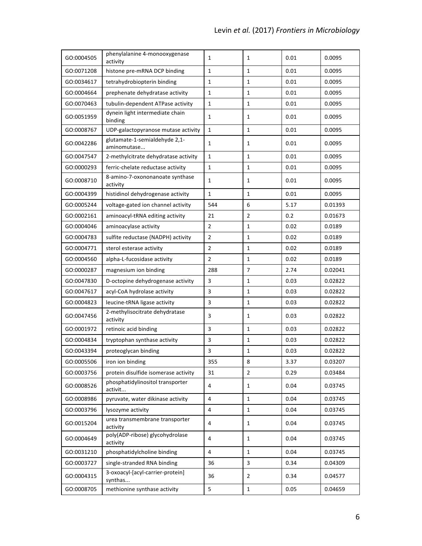| GO:0004505 | phenylalanine 4-monooxygenase<br>activity    | 1              | $\mathbf{1}$   | 0.01 | 0.0095  |
|------------|----------------------------------------------|----------------|----------------|------|---------|
| GO:0071208 | histone pre-mRNA DCP binding                 | $\mathbf{1}$   | $\mathbf{1}$   | 0.01 | 0.0095  |
| GO:0034617 | tetrahydrobiopterin binding                  | $\mathbf 1$    | $\mathbf{1}$   | 0.01 | 0.0095  |
| GO:0004664 | prephenate dehydratase activity              | $\mathbf{1}$   | $\mathbf{1}$   | 0.01 | 0.0095  |
| GO:0070463 | tubulin-dependent ATPase activity            | $\mathbf 1$    | $\mathbf{1}$   | 0.01 | 0.0095  |
| GO:0051959 | dynein light intermediate chain<br>binding   | 1              | 1              | 0.01 | 0.0095  |
| GO:0008767 | UDP-galactopyranose mutase activity          | $\mathbf{1}$   | $\mathbf{1}$   | 0.01 | 0.0095  |
| GO:0042286 | glutamate-1-semialdehyde 2,1-<br>aminomutase | $\mathbf{1}$   | 1              | 0.01 | 0.0095  |
| GO:0047547 | 2-methylcitrate dehydratase activity         | $\mathbf{1}$   | $\mathbf{1}$   | 0.01 | 0.0095  |
| GO:0000293 | ferric-chelate reductase activity            | $\mathbf{1}$   | $\mathbf{1}$   | 0.01 | 0.0095  |
| GO:0008710 | 8-amino-7-oxononanoate synthase<br>activity  | $\mathbf{1}$   | $\mathbf{1}$   | 0.01 | 0.0095  |
| GO:0004399 | histidinol dehydrogenase activity            | $\mathbf{1}$   | $\mathbf{1}$   | 0.01 | 0.0095  |
| GO:0005244 | voltage-gated ion channel activity           | 544            | 6              | 5.17 | 0.01393 |
| GO:0002161 | aminoacyl-tRNA editing activity              | 21             | $\overline{2}$ | 0.2  | 0.01673 |
| GO:0004046 | aminoacylase activity                        | $\overline{2}$ | $\mathbf{1}$   | 0.02 | 0.0189  |
| GO:0004783 | sulfite reductase (NADPH) activity           | $\overline{2}$ | $\mathbf{1}$   | 0.02 | 0.0189  |
| GO:0004771 | sterol esterase activity                     | $\overline{2}$ | $\mathbf{1}$   | 0.02 | 0.0189  |
| GO:0004560 | alpha-L-fucosidase activity                  | $\overline{2}$ | $\mathbf{1}$   | 0.02 | 0.0189  |
| GO:0000287 | magnesium ion binding                        | 288            | $\overline{7}$ | 2.74 | 0.02041 |
| GO:0047830 | D-octopine dehydrogenase activity            | 3              | $\mathbf{1}$   | 0.03 | 0.02822 |
| GO:0047617 | acyl-CoA hydrolase activity                  | 3              | $\mathbf{1}$   | 0.03 | 0.02822 |
| GO:0004823 | leucine-tRNA ligase activity                 | 3              | $\mathbf{1}$   | 0.03 | 0.02822 |
| GO:0047456 | 2-methylisocitrate dehydratase<br>activity   | 3              | 1              | 0.03 | 0.02822 |
| GO:0001972 | retinoic acid binding                        | 3              | $\mathbf{1}$   | 0.03 | 0.02822 |
| GO:0004834 | tryptophan synthase activity                 | 3              | 1              | 0.03 | 0.02822 |
| GO:0043394 | proteoglycan binding                         | 3              | 1              | 0.03 | 0.02822 |
| GO:0005506 | iron ion binding                             | 355            | 8              | 3.37 | 0.03207 |
| GO:0003756 | protein disulfide isomerase activity         | 31             | $\overline{2}$ | 0.29 | 0.03484 |
| GO:0008526 | phosphatidylinositol transporter<br>activit  | 4              | 1              | 0.04 | 0.03745 |
| GO:0008986 | pyruvate, water dikinase activity            | 4              | $\mathbf{1}$   | 0.04 | 0.03745 |
| GO:0003796 | lysozyme activity                            | $\sqrt{4}$     | $\mathbf{1}$   | 0.04 | 0.03745 |
| GO:0015204 | urea transmembrane transporter<br>activity   | 4              | 1              | 0.04 | 0.03745 |
| GO:0004649 | poly(ADP-ribose) glycohydrolase<br>activity  | 4              | 1              | 0.04 | 0.03745 |
| GO:0031210 | phosphatidylcholine binding                  | $\sqrt{4}$     | 1              | 0.04 | 0.03745 |
| GO:0003727 | single-stranded RNA binding                  | 36             | 3              | 0.34 | 0.04309 |
| GO:0004315 | 3-oxoacyl-[acyl-carrier-protein]<br>synthas  | 36             | $\overline{2}$ | 0.34 | 0.04577 |
| GO:0008705 | methionine synthase activity                 | 5              | $\mathbf{1}$   | 0.05 | 0.04659 |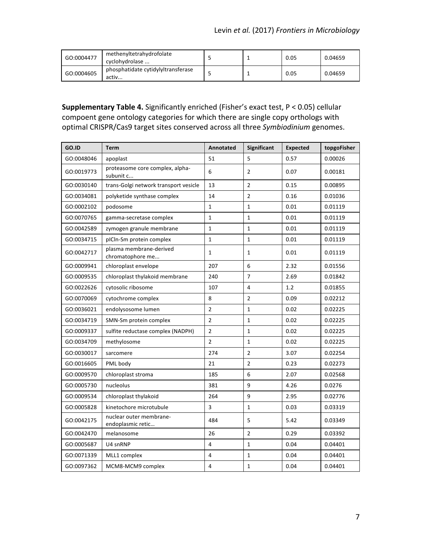| GO:0004477 | methenyltetrahydrofolate<br>cyclohydrolase  |  | 0.05 | 0.04659 |
|------------|---------------------------------------------|--|------|---------|
| GO:0004605 | phosphatidate cytidylyltransferase<br>activ |  | 0.05 | 0.04659 |

# **Supplementary Table 4.** Significantly enriched (Fisher's exact test, P < 0.05) cellular compoent gene ontology categories for which there are single copy orthologs with optimal CRISPR/Cas9 target sites conserved across all three Symbiodinium genomes.

| GO.ID      | Term                                         | Annotated      | <b>Significant</b> | <b>Expected</b> | topgoFisher |
|------------|----------------------------------------------|----------------|--------------------|-----------------|-------------|
| GO:0048046 | apoplast                                     | 51             | 5                  | 0.57            | 0.00026     |
| GO:0019773 | proteasome core complex, alpha-<br>subunit c | 6              | $\overline{2}$     | 0.07            | 0.00181     |
| GO:0030140 | trans-Golgi network transport vesicle        | 13             | $\overline{2}$     | 0.15            | 0.00895     |
| GO:0034081 | polyketide synthase complex                  | 14             | $\overline{2}$     | 0.16            | 0.01036     |
| GO:0002102 | podosome                                     | $\mathbf{1}$   | $\mathbf{1}$       | 0.01            | 0.01119     |
| GO:0070765 | gamma-secretase complex                      | $\mathbf{1}$   | $\mathbf 1$        | 0.01            | 0.01119     |
| GO:0042589 | zymogen granule membrane                     | $\mathbf{1}$   | $\mathbf{1}$       | 0.01            | 0.01119     |
| GO:0034715 | pICIn-Sm protein complex                     | $\mathbf{1}$   | $\mathbf{1}$       | 0.01            | 0.01119     |
| GO:0042717 | plasma membrane-derived<br>chromatophore me  | $\mathbf{1}$   | $\mathbf{1}$       | 0.01            | 0.01119     |
| GO:0009941 | chloroplast envelope                         | 207            | 6                  | 2.32            | 0.01556     |
| GO:0009535 | chloroplast thylakoid membrane               | 240            | $\overline{7}$     | 2.69            | 0.01842     |
| GO:0022626 | cytosolic ribosome                           | 107            | 4                  | 1.2             | 0.01855     |
| GO:0070069 | cytochrome complex                           | 8              | $\overline{2}$     | 0.09            | 0.02212     |
| GO:0036021 | endolysosome lumen                           | $\overline{2}$ | $\mathbf 1$        | 0.02            | 0.02225     |
| GO:0034719 | SMN-Sm protein complex                       | $\overline{2}$ | $\mathbf{1}$       | 0.02            | 0.02225     |
| GO:0009337 | sulfite reductase complex (NADPH)            | $\overline{2}$ | $\mathbf 1$        | 0.02            | 0.02225     |
| GO:0034709 | methylosome                                  | $\overline{2}$ | $\mathbf 1$        | 0.02            | 0.02225     |
| GO:0030017 | sarcomere                                    | 274            | $\overline{2}$     | 3.07            | 0.02254     |
| GO:0016605 | PML body                                     | 21             | $\overline{2}$     | 0.23            | 0.02273     |
| GO:0009570 | chloroplast stroma                           | 185            | 6                  | 2.07            | 0.02568     |
| GO:0005730 | nucleolus                                    | 381            | 9                  | 4.26            | 0.0276      |
| GO:0009534 | chloroplast thylakoid                        | 264            | 9                  | 2.95            | 0.02776     |
| GO:0005828 | kinetochore microtubule                      | 3              | $\mathbf{1}$       | 0.03            | 0.03319     |
| GO:0042175 | nuclear outer membrane-<br>endoplasmic retic | 484            | 5                  | 5.42            | 0.03349     |
| GO:0042470 | melanosome                                   | 26             | $\overline{2}$     | 0.29            | 0.03392     |
| GO:0005687 | U4 snRNP                                     | $\overline{4}$ | $\mathbf{1}$       | 0.04            | 0.04401     |
| GO:0071339 | MLL1 complex                                 | $\overline{4}$ | $\mathbf{1}$       | 0.04            | 0.04401     |
| GO:0097362 | MCM8-MCM9 complex                            | 4              | $\mathbf{1}$       | 0.04            | 0.04401     |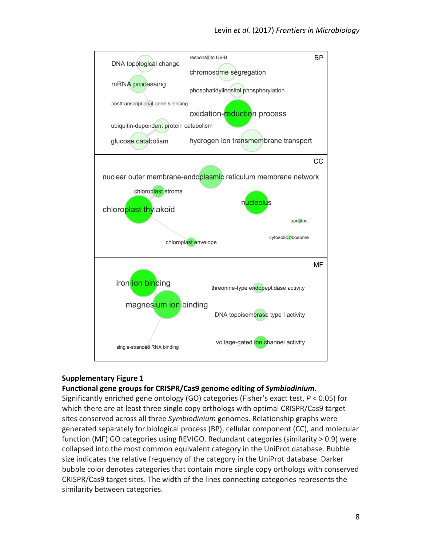

# **Supplementary Figure 1**

## Functional gene groups for CRISPR/Cas9 genome editing of *Symbiodinium*.

Significantly enriched gene ontology (GO) categories (Fisher's exact test,  $P < 0.05$ ) for which there are at least three single copy orthologs with optimal CRISPR/Cas9 target sites conserved across all three *Symbiodinium* genomes. Relationship graphs were generated separately for biological process (BP), cellular component (CC), and molecular function (MF) GO categories using REVIGO. Redundant categories (similarity > 0.9) were collapsed into the most common equivalent category in the UniProt database. Bubble size indicates the relative frequency of the category in the UniProt database. Darker bubble color denotes categories that contain more single copy orthologs with conserved CRISPR/Cas9 target sites. The width of the lines connecting categories represents the similarity between categories.